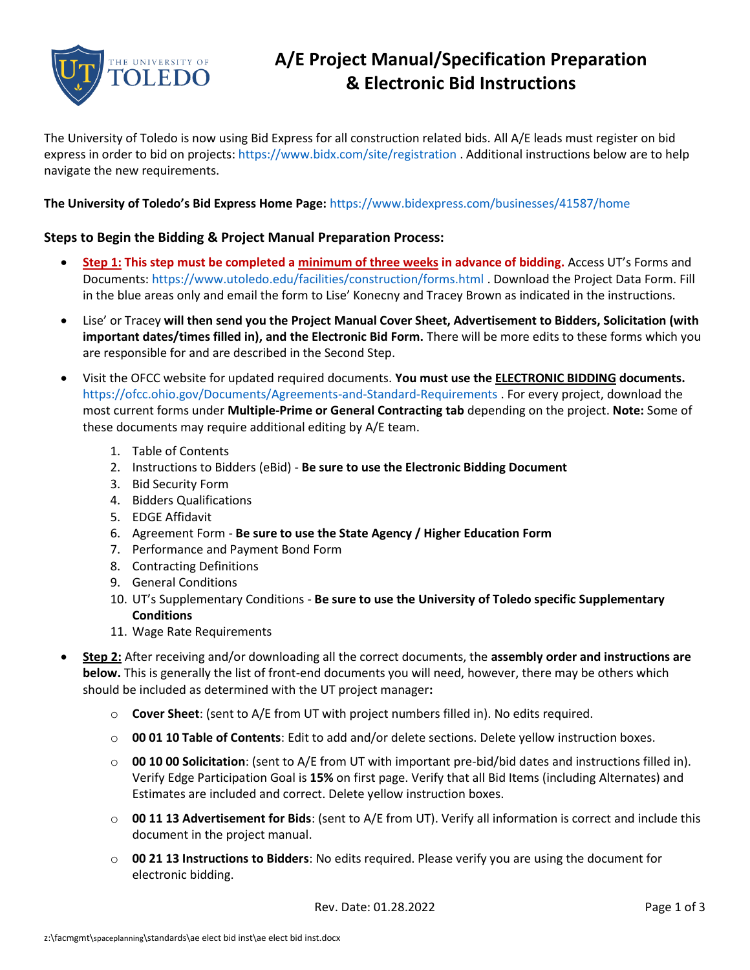

## **A/E Project Manual/Specification Preparation & Electronic Bid Instructions**

The University of Toledo is now using Bid Express for all construction related bids. All A/E leads must register on bid express in order to bid on projects[: https://www.bidx.com/site/registration](https://www.bidx.com/site/registration) . Additional instructions below are to help navigate the new requirements.

## **The University of Toledo's Bid Express Home Page:** <https://www.bidexpress.com/businesses/41587/home>

## **Steps to Begin the Bidding & Project Manual Preparation Process:**

- **Step 1: This step must be completed a minimum of three weeks in advance of bidding.** Access UT's Forms and Documents:<https://www.utoledo.edu/facilities/construction/forms.html> . Download the Project Data Form. Fill in the blue areas only and email the form to Lise' Konecny and Tracey Brown as indicated in the instructions.
- Lise' or Tracey **will then send you the Project Manual Cover Sheet, Advertisement to Bidders, Solicitation (with important dates/times filled in), and the Electronic Bid Form.** There will be more edits to these forms which you are responsible for and are described in the Second Step.
- Visit the OFCC website for updated required documents. **You must use the ELECTRONIC BIDDING documents.** <https://ofcc.ohio.gov/Documents/Agreements-and-Standard-Requirements> . For every project, download the most current forms under **Multiple-Prime or General Contracting tab** depending on the project. **Note:** Some of these documents may require additional editing by A/E team.
	- 1. Table of Contents
	- 2. Instructions to Bidders (eBid) **Be sure to use the Electronic Bidding Document**
	- 3. Bid Security Form
	- 4. Bidders Qualifications
	- 5. EDGE Affidavit
	- 6. Agreement Form **Be sure to use the State Agency / Higher Education Form**
	- 7. Performance and Payment Bond Form
	- 8. Contracting Definitions
	- 9. General Conditions
	- 10. UT's Supplementary Conditions **Be sure to use the University of Toledo specific Supplementary Conditions**
	- 11. Wage Rate Requirements
- **Step 2:** After receiving and/or downloading all the correct documents, the **assembly order and instructions are below.** This is generally the list of front-end documents you will need, however, there may be others which should be included as determined with the UT project manager**:**
	- o **Cover Sheet**: (sent to A/E from UT with project numbers filled in). No edits required.
	- o **00 01 10 Table of Contents**: Edit to add and/or delete sections. Delete yellow instruction boxes.
	- o **00 10 00 Solicitation**: (sent to A/E from UT with important pre-bid/bid dates and instructions filled in). Verify Edge Participation Goal is **15%** on first page. Verify that all Bid Items (including Alternates) and Estimates are included and correct. Delete yellow instruction boxes.
	- o **00 11 13 Advertisement for Bids**: (sent to A/E from UT). Verify all information is correct and include this document in the project manual.
	- o **00 21 13 Instructions to Bidders**: No edits required. Please verify you are using the document for electronic bidding.

Rev. Date: 01.28.2022 Page 1 of 3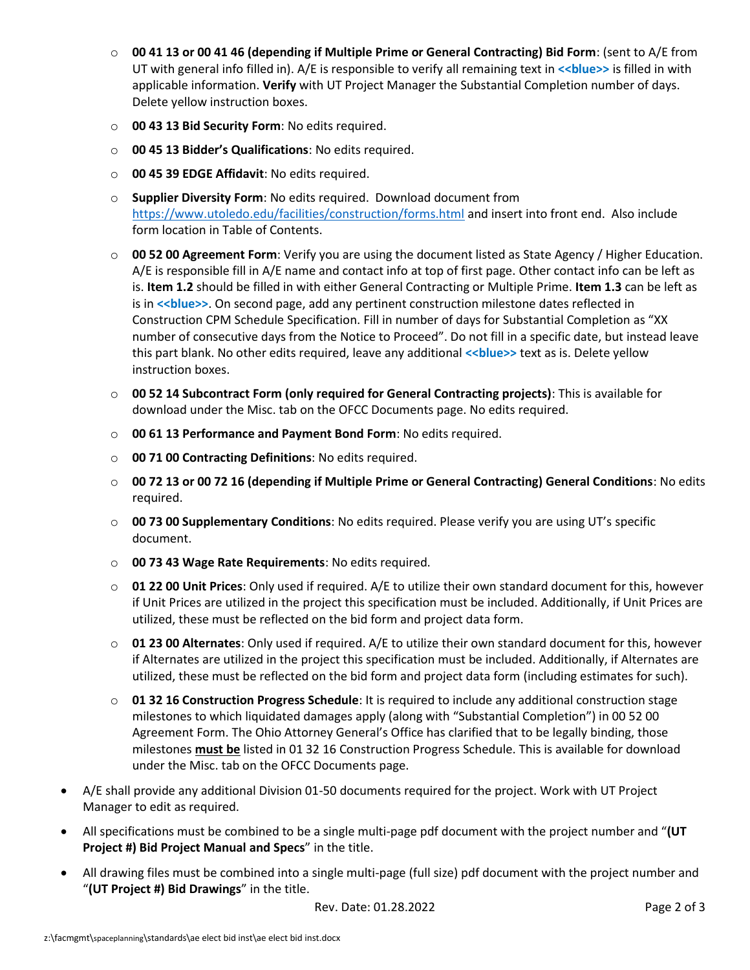- o **00 41 13 or 00 41 46 (depending if Multiple Prime or General Contracting) Bid Form**: (sent to A/E from UT with general info filled in). A/E is responsible to verify all remaining text in **<<blue>>** is filled in with applicable information. **Verify** with UT Project Manager the Substantial Completion number of days. Delete yellow instruction boxes.
- o **00 43 13 Bid Security Form**: No edits required.
- o **00 45 13 Bidder's Qualifications**: No edits required.
- o **00 45 39 EDGE Affidavit**: No edits required.
- o **Supplier Diversity Form**: No edits required. Download document from <https://www.utoledo.edu/facilities/construction/forms.html> and insert into front end. Also include form location in Table of Contents.
- o **00 52 00 Agreement Form**: Verify you are using the document listed as State Agency / Higher Education. A/E is responsible fill in A/E name and contact info at top of first page. Other contact info can be left as is. **Item 1.2** should be filled in with either General Contracting or Multiple Prime. **Item 1.3** can be left as is in <<br />blue>>. On second page, add any pertinent construction milestone dates reflected in Construction CPM Schedule Specification. Fill in number of days for Substantial Completion as "XX number of consecutive days from the Notice to Proceed". Do not fill in a specific date, but instead leave this part blank. No other edits required, leave any additional << blue>> text as is. Delete yellow instruction boxes.
- o **00 52 14 Subcontract Form (only required for General Contracting projects)**: This is available for download under the Misc. tab on the OFCC Documents page. No edits required.
- o **00 61 13 Performance and Payment Bond Form**: No edits required.
- o **00 71 00 Contracting Definitions**: No edits required.
- o **00 72 13 or 00 72 16 (depending if Multiple Prime or General Contracting) General Conditions**: No edits required.
- o **00 73 00 Supplementary Conditions**: No edits required. Please verify you are using UT's specific document.
- o **00 73 43 Wage Rate Requirements**: No edits required.
- o **01 22 00 Unit Prices**: Only used if required. A/E to utilize their own standard document for this, however if Unit Prices are utilized in the project this specification must be included. Additionally, if Unit Prices are utilized, these must be reflected on the bid form and project data form.
- o **01 23 00 Alternates**: Only used if required. A/E to utilize their own standard document for this, however if Alternates are utilized in the project this specification must be included. Additionally, if Alternates are utilized, these must be reflected on the bid form and project data form (including estimates for such).
- o **01 32 16 Construction Progress Schedule**: It is required to include any additional construction stage milestones to which liquidated damages apply (along with "Substantial Completion") in 00 52 00 Agreement Form. The Ohio Attorney General's Office has clarified that to be legally binding, those milestones **must be** listed in 01 32 16 Construction Progress Schedule. This is available for download under the Misc. tab on the OFCC Documents page.
- A/E shall provide any additional Division 01-50 documents required for the project. Work with UT Project Manager to edit as required.
- All specifications must be combined to be a single multi-page pdf document with the project number and "**(UT Project #) Bid Project Manual and Specs**" in the title.
- All drawing files must be combined into a single multi-page (full size) pdf document with the project number and "**(UT Project #) Bid Drawings**" in the title.